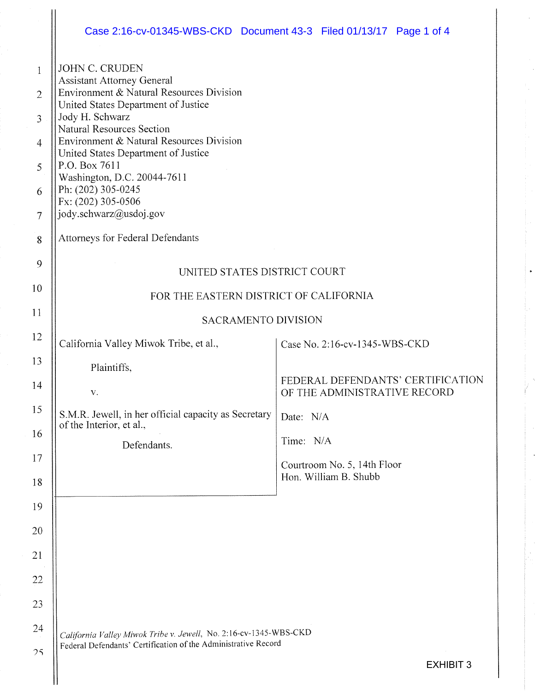|                                                                                       | Case 2:16-cv-01345-WBS-CKD Document 43-3 Filed 01/13/17 Page 1 of 4                                                                                                                                                                                                                                                                                                                                                                               |           |                                                      |                                   |
|---------------------------------------------------------------------------------------|---------------------------------------------------------------------------------------------------------------------------------------------------------------------------------------------------------------------------------------------------------------------------------------------------------------------------------------------------------------------------------------------------------------------------------------------------|-----------|------------------------------------------------------|-----------------------------------|
| 1<br>$\overline{2}$<br>$\overline{3}$<br>$\overline{4}$<br>5<br>6<br>$\tau$<br>8<br>9 | <b>JOHN C. CRUDEN</b><br><b>Assistant Attorney General</b><br>Environment & Natural Resources Division<br>United States Department of Justice<br>Jody H. Schwarz<br><b>Natural Resources Section</b><br>Environment & Natural Resources Division<br>United States Department of Justice<br>P.O. Box 7611<br>Washington, D.C. 20044-7611<br>Ph: (202) 305-0245<br>Fx: (202) 305-0506<br>jody.schwarz@usdoj.gov<br>Attorneys for Federal Defendants |           |                                                      |                                   |
|                                                                                       | UNITED STATES DISTRICT COURT                                                                                                                                                                                                                                                                                                                                                                                                                      |           |                                                      |                                   |
| 10                                                                                    | FOR THE EASTERN DISTRICT OF CALIFORNIA                                                                                                                                                                                                                                                                                                                                                                                                            |           |                                                      |                                   |
| 11                                                                                    | <b>SACRAMENTO DIVISION</b>                                                                                                                                                                                                                                                                                                                                                                                                                        |           |                                                      |                                   |
| 12                                                                                    | California Valley Miwok Tribe, et al.,                                                                                                                                                                                                                                                                                                                                                                                                            |           | Case No. 2:16-cv-1345-WBS-CKD                        |                                   |
| 13                                                                                    | Plaintiffs,                                                                                                                                                                                                                                                                                                                                                                                                                                       |           |                                                      |                                   |
| 14                                                                                    | V.                                                                                                                                                                                                                                                                                                                                                                                                                                                |           | OF THE ADMINISTRATIVE RECORD                         | FEDERAL DEFENDANTS' CERTIFICATION |
| 15                                                                                    | S.M.R. Jewell, in her official capacity as Secretary<br>of the Interior, et al.,                                                                                                                                                                                                                                                                                                                                                                  | Date: N/A |                                                      |                                   |
| 16                                                                                    | Defendants.                                                                                                                                                                                                                                                                                                                                                                                                                                       | Time: N/A |                                                      |                                   |
| 17<br>18                                                                              |                                                                                                                                                                                                                                                                                                                                                                                                                                                   |           | Courtroom No. 5, 14th Floor<br>Hon. William B. Shubb |                                   |
| 19                                                                                    |                                                                                                                                                                                                                                                                                                                                                                                                                                                   |           |                                                      |                                   |
| 20                                                                                    |                                                                                                                                                                                                                                                                                                                                                                                                                                                   |           |                                                      |                                   |
| 21                                                                                    |                                                                                                                                                                                                                                                                                                                                                                                                                                                   |           |                                                      |                                   |
| 22                                                                                    |                                                                                                                                                                                                                                                                                                                                                                                                                                                   |           |                                                      |                                   |
| 23                                                                                    |                                                                                                                                                                                                                                                                                                                                                                                                                                                   |           |                                                      |                                   |
| 24                                                                                    |                                                                                                                                                                                                                                                                                                                                                                                                                                                   |           |                                                      |                                   |
| 25                                                                                    | California Valley Miwok Tribe v. Jewell, No. 2:16-cv-1345-WBS-CKD<br>Federal Defendants' Certification of the Administrative Record                                                                                                                                                                                                                                                                                                               |           |                                                      |                                   |
|                                                                                       |                                                                                                                                                                                                                                                                                                                                                                                                                                                   |           |                                                      | <b>EXHIBIT 3</b>                  |

 $\ddot{\phantom{a}}$ 

 $\ddot{\phantom{0}}$ 

l,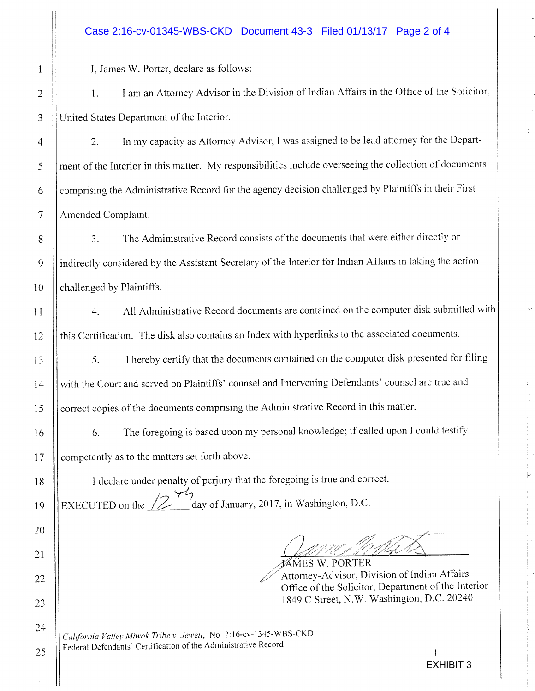## Case 2:16-cv-01345-WBS-CKD Document 43-3 Filed 01/13/17 Page 2 of 4

I, James W. Porter. declare as follows:

1. I am an Attorney Advisor in the Division of Indian Affairs in the Office of the Solicitor, United States Department of the Interior.

2. In my capacity as Attorney Advisor, I was assigned to be lead attorney for the Department of the Interior in this matter. My responsibilities include overseeing the collection of documents comprising the Administrative Record for the agency decision challenged by Plaintiffs in their First Amended Complaint.

3. The Administrative Record consists of the documents that were either directly or indirectly considered by the Assistant Secretary of the Interior for Indian Affairs in taking the action challenged by Plaintiffs.

4. All Administrative Record documents are contained on the computer disk submitted with this Certification. The disk also contains an Index with hyperlinks to the associated documents.

5. I hereby certify that the documents contained on the computer disk presented for tiling with the Court and served on Plaintiffs' counsel and Intervening Defendants' counsel are true and correct copies of the documents comprising the Administrative Record in this matter.

6. The foregoing is based upon my personal knowledge; if called upon I could testify competently as to the matters set forth above.

<sup>I</sup>declare under penalty of perjury that the foregoing is true and correct. EXECUTED on the  $\sqrt{2}$   $\frac{1}{2}$  day of January, 2017, in Washington, D.C.

*,* 

f%Y~MES W. PORTER Attorney-Advisor, Division of Indian Affairs Office of the Solicitor, Department of the Interior 1849 C Street, N. W, Washington, D.C. 20240

California Valley Miwok Tribe v. Jewell, No. 2:16-cv-1345-WBS-CKD Federal Defendants' Certification of the Administrative Record

 $25$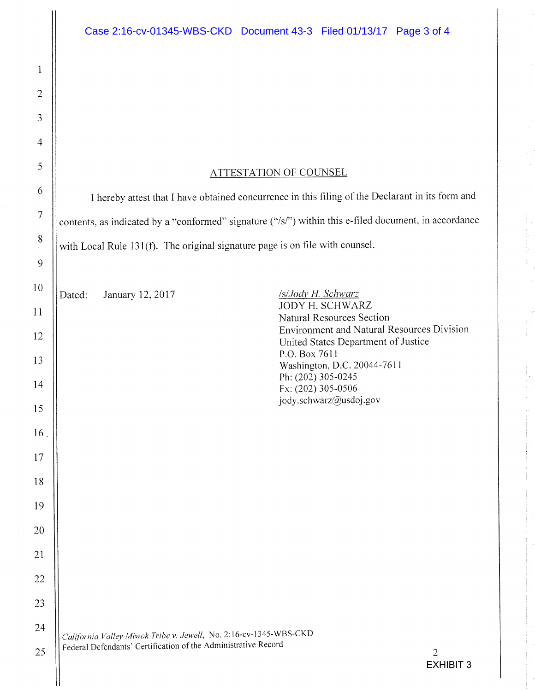## ATTESTATION OF COUNSEL

I hereby attest that T have obtained concurrence in this filing of the Declarant in its form and contents, as indicated by a "conformed" signature ("/s/") within this e-filed document, in accordance with Local Rule 131(f). The original signature page is on file with counsel.

Dated: January 12, 2017 /s/Jody H. Schwarz

JODY H. SCHWARZ Natural Resources Section Environment and Natural Resources Division United States Department of Justice P.O. Box 7611 Washington, D.C. 20044-7611 Ph: (202) 305-0245 Fx: (202) 305-OSOb jody.schwarz@usdoj.gov

7j